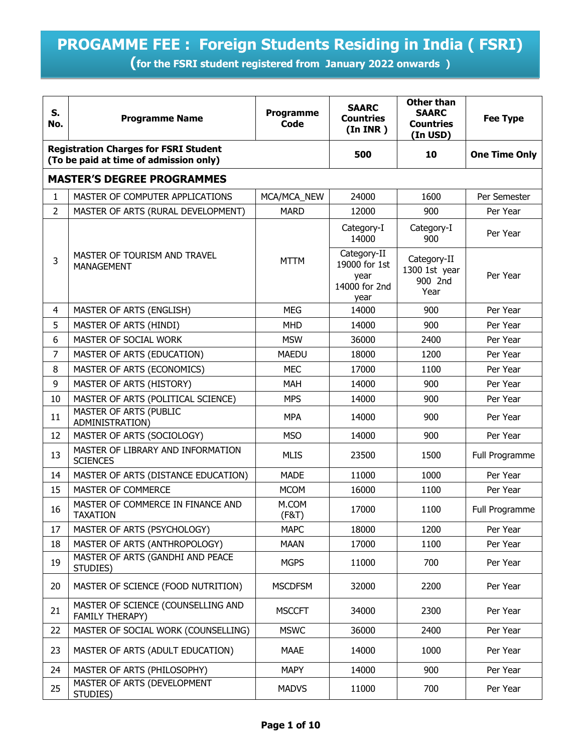## **PROGAMME FEE : Foreign Students Residing in India ( FSRI)**

**(for the FSRI student registered from January 2022 onwards )** 

| S.<br>No.      | <b>Programme Name</b>                                                                  | <b>Programme</b><br>Code | <b>SAARC</b><br><b>Countries</b><br>(In <b>INR</b> )          | <b>Other than</b><br><b>SAARC</b><br><b>Countries</b><br>(In USD) | <b>Fee Type</b>      |
|----------------|----------------------------------------------------------------------------------------|--------------------------|---------------------------------------------------------------|-------------------------------------------------------------------|----------------------|
|                | <b>Registration Charges for FSRI Student</b><br>(To be paid at time of admission only) |                          | 500                                                           | 10                                                                | <b>One Time Only</b> |
|                | <b>MASTER'S DEGREE PROGRAMMES</b>                                                      |                          |                                                               |                                                                   |                      |
| $\mathbf{1}$   | MASTER OF COMPUTER APPLICATIONS                                                        | MCA/MCA_NEW              | 24000                                                         | 1600                                                              | Per Semester         |
| $\overline{2}$ | MASTER OF ARTS (RURAL DEVELOPMENT)                                                     | <b>MARD</b>              | 12000                                                         | 900                                                               | Per Year             |
|                |                                                                                        |                          | Category-I<br>14000                                           | Category-I<br>900                                                 | Per Year             |
| 3              | MASTER OF TOURISM AND TRAVEL<br><b>MANAGEMENT</b>                                      | <b>MTTM</b>              | Category-II<br>19000 for 1st<br>year<br>14000 for 2nd<br>year | Category-II<br>1300 1st year<br>900 2nd<br>Year                   | Per Year             |
| 4              | MASTER OF ARTS (ENGLISH)                                                               | <b>MEG</b>               | 14000                                                         | 900                                                               | Per Year             |
| 5              | MASTER OF ARTS (HINDI)                                                                 | <b>MHD</b>               | 14000                                                         | 900                                                               | Per Year             |
| 6              | MASTER OF SOCIAL WORK                                                                  | <b>MSW</b>               | 36000                                                         | 2400                                                              | Per Year             |
| 7              | MASTER OF ARTS (EDUCATION)                                                             | <b>MAEDU</b>             | 18000                                                         | 1200                                                              | Per Year             |
| 8              | MASTER OF ARTS (ECONOMICS)                                                             | <b>MEC</b>               | 17000                                                         | 1100                                                              | Per Year             |
| 9              | MASTER OF ARTS (HISTORY)                                                               | <b>MAH</b>               | 14000                                                         | 900                                                               | Per Year             |
| 10             | MASTER OF ARTS (POLITICAL SCIENCE)                                                     | <b>MPS</b>               | 14000                                                         | 900                                                               | Per Year             |
| 11             | MASTER OF ARTS (PUBLIC<br>ADMINISTRATION)                                              | <b>MPA</b>               | 14000                                                         | 900                                                               | Per Year             |
| 12             | MASTER OF ARTS (SOCIOLOGY)                                                             | <b>MSO</b>               | 14000                                                         | 900                                                               | Per Year             |
| 13             | MASTER OF LIBRARY AND INFORMATION<br><b>SCIENCES</b>                                   | <b>MLIS</b>              | 23500                                                         | 1500                                                              | Full Programme       |
| 14             | MASTER OF ARTS (DISTANCE EDUCATION)                                                    | <b>MADE</b>              | 11000                                                         | 1000                                                              | Per Year             |
| 15             | MASTER OF COMMERCE                                                                     | <b>MCOM</b>              | 16000                                                         | 1100                                                              | Per Year             |
| 16             | MASTER OF COMMERCE IN FINANCE AND<br><b>TAXATION</b>                                   | M.COM<br>(F&T)           | 17000                                                         | 1100                                                              | Full Programme       |
| 17             | MASTER OF ARTS (PSYCHOLOGY)                                                            | <b>MAPC</b>              | 18000                                                         | 1200                                                              | Per Year             |
| 18             | MASTER OF ARTS (ANTHROPOLOGY)                                                          | <b>MAAN</b>              | 17000                                                         | 1100                                                              | Per Year             |
| 19             | MASTER OF ARTS (GANDHI AND PEACE<br>STUDIES)                                           | <b>MGPS</b>              | 11000                                                         | 700                                                               | Per Year             |
| 20             | MASTER OF SCIENCE (FOOD NUTRITION)                                                     | <b>MSCDFSM</b>           | 32000                                                         | 2200                                                              | Per Year             |
| 21             | MASTER OF SCIENCE (COUNSELLING AND<br><b>FAMILY THERAPY)</b>                           | <b>MSCCFT</b>            | 34000                                                         | 2300                                                              | Per Year             |
| 22             | MASTER OF SOCIAL WORK (COUNSELLING)                                                    | <b>MSWC</b>              | 36000                                                         | 2400                                                              | Per Year             |
| 23             | MASTER OF ARTS (ADULT EDUCATION)                                                       | <b>MAAE</b>              | 14000                                                         | 1000                                                              | Per Year             |
| 24             | MASTER OF ARTS (PHILOSOPHY)                                                            | <b>MAPY</b>              | 14000                                                         | 900                                                               | Per Year             |
| 25             | MASTER OF ARTS (DEVELOPMENT<br>STUDIES)                                                | <b>MADVS</b>             | 11000                                                         | 700                                                               | Per Year             |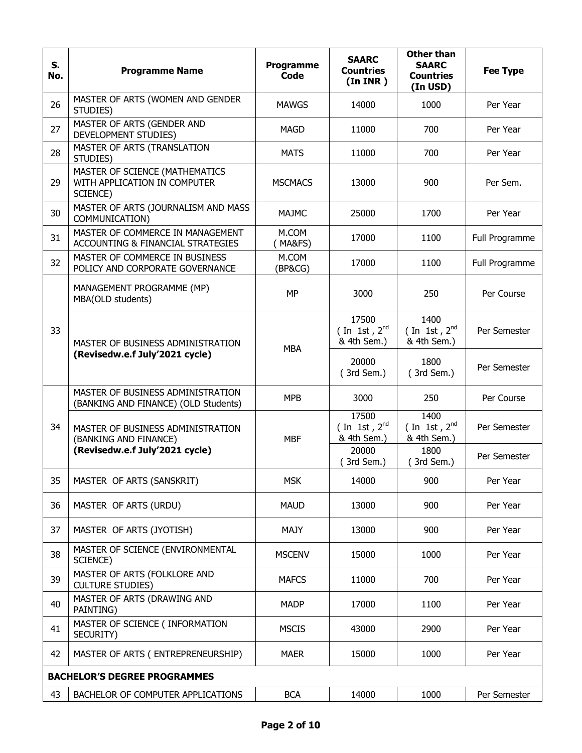| S.<br>No. | <b>Programme Name</b>                                                      | <b>Programme</b><br><b>Code</b> | <b>SAARC</b><br><b>Countries</b><br>(In <b>INR</b> ) | <b>Other than</b><br><b>SAARC</b><br><b>Countries</b><br>(In USD) | <b>Fee Type</b> |
|-----------|----------------------------------------------------------------------------|---------------------------------|------------------------------------------------------|-------------------------------------------------------------------|-----------------|
| 26        | MASTER OF ARTS (WOMEN AND GENDER<br>STUDIES)                               | <b>MAWGS</b>                    | 14000                                                | 1000                                                              | Per Year        |
| 27        | MASTER OF ARTS (GENDER AND<br>DEVELOPMENT STUDIES)                         | <b>MAGD</b>                     | 11000                                                | 700                                                               | Per Year        |
| 28        | MASTER OF ARTS (TRANSLATION<br>STUDIES)                                    | <b>MATS</b>                     | 11000                                                | 700                                                               | Per Year        |
| 29        | MASTER OF SCIENCE (MATHEMATICS<br>WITH APPLICATION IN COMPUTER<br>SCIENCE) | <b>MSCMACS</b>                  | 13000                                                | 900                                                               | Per Sem.        |
| 30        | MASTER OF ARTS (JOURNALISM AND MASS<br>COMMUNICATION)                      | MAJMC                           | 25000                                                | 1700                                                              | Per Year        |
| 31        | MASTER OF COMMERCE IN MANAGEMENT<br>ACCOUNTING & FINANCIAL STRATEGIES      | M.COM<br>(MA&FS)                | 17000                                                | 1100                                                              | Full Programme  |
| 32        | MASTER OF COMMERCE IN BUSINESS<br>POLICY AND CORPORATE GOVERNANCE          | M.COM<br>(BP&CG)                | 17000                                                | 1100                                                              | Full Programme  |
|           | MANAGEMENT PROGRAMME (MP)<br>MBA(OLD students)                             | <b>MP</b>                       | 3000                                                 | 250                                                               | Per Course      |
| 33        | MASTER OF BUSINESS ADMINISTRATION<br>(Revisedw.e.f July'2021 cycle)        | <b>MBA</b>                      | 17500<br>(In 1st, $2^{nd}$<br>& 4th Sem.)            | 1400<br>(In 1st, $2^{nd}$<br>& 4th Sem.)                          | Per Semester    |
|           |                                                                            |                                 | 20000<br>(3rd Sem.)                                  | 1800<br>(3rd Sem.)                                                | Per Semester    |
|           | MASTER OF BUSINESS ADMINISTRATION<br>(BANKING AND FINANCE) (OLD Students)  | <b>MPB</b>                      | 3000                                                 | 250                                                               | Per Course      |
| 34        | MASTER OF BUSINESS ADMINISTRATION<br>(BANKING AND FINANCE)                 | <b>MBF</b>                      | 17500<br>(In 1st, $2^{nd}$<br>& 4th Sem.)            | 1400<br>(In 1st, $2^{nd}$<br>& 4th Sem.)                          | Per Semester    |
|           | (Revisedw.e.f July'2021 cycle)                                             |                                 | 20000<br>(3rd Sem.)                                  | 1800<br>(3rd Sem.)                                                | Per Semester    |
| 35        | MASTER OF ARTS (SANSKRIT)                                                  | <b>MSK</b>                      | 14000                                                | 900                                                               | Per Year        |
| 36        | MASTER OF ARTS (URDU)                                                      | <b>MAUD</b>                     | 13000                                                | 900                                                               | Per Year        |
| 37        | MASTER OF ARTS (JYOTISH)                                                   | MAJY                            | 13000                                                | 900                                                               | Per Year        |
| 38        | MASTER OF SCIENCE (ENVIRONMENTAL<br>SCIENCE)                               | <b>MSCENV</b>                   | 15000                                                | 1000                                                              | Per Year        |
| 39        | MASTER OF ARTS (FOLKLORE AND<br><b>CULTURE STUDIES)</b>                    | <b>MAFCS</b>                    | 11000                                                | 700                                                               | Per Year        |
| 40        | MASTER OF ARTS (DRAWING AND<br>PAINTING)                                   | <b>MADP</b>                     | 17000                                                | 1100                                                              | Per Year        |
| 41        | MASTER OF SCIENCE ( INFORMATION<br>SECURITY)                               | <b>MSCIS</b>                    | 43000                                                | 2900                                                              | Per Year        |
| 42        | MASTER OF ARTS (ENTREPRENEURSHIP)                                          | <b>MAER</b>                     | 15000                                                | 1000                                                              | Per Year        |
|           | <b>BACHELOR'S DEGREE PROGRAMMES</b>                                        |                                 |                                                      |                                                                   |                 |
| 43        | BACHELOR OF COMPUTER APPLICATIONS                                          | <b>BCA</b>                      | 14000                                                | 1000                                                              | Per Semester    |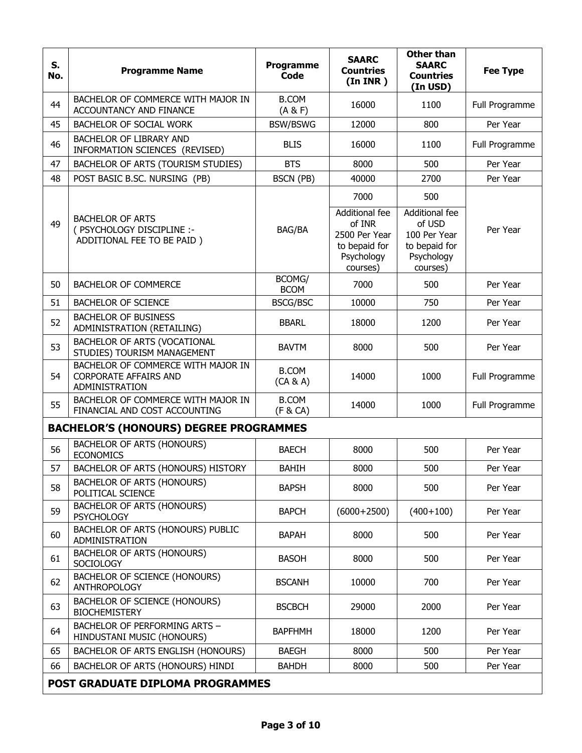| S.<br>No. | <b>Programme Name</b>                                                                | Programme<br><b>Code</b> | <b>SAARC</b><br><b>Countries</b><br>(In <b>INR</b> )                                         | <b>Other than</b><br><b>SAARC</b><br><b>Countries</b><br>(In USD)                          | <b>Fee Type</b> |
|-----------|--------------------------------------------------------------------------------------|--------------------------|----------------------------------------------------------------------------------------------|--------------------------------------------------------------------------------------------|-----------------|
| 44        | BACHELOR OF COMMERCE WITH MAJOR IN<br><b>ACCOUNTANCY AND FINANCE</b>                 | <b>B.COM</b><br>(A & F)  | 16000                                                                                        | 1100                                                                                       | Full Programme  |
| 45        | <b>BACHELOR OF SOCIAL WORK</b>                                                       | <b>BSW/BSWG</b>          | 12000                                                                                        | 800                                                                                        | Per Year        |
| 46        | BACHELOR OF LIBRARY AND<br>INFORMATION SCIENCES (REVISED)                            | <b>BLIS</b>              | 16000                                                                                        | 1100                                                                                       | Full Programme  |
| 47        | BACHELOR OF ARTS (TOURISM STUDIES)                                                   | <b>BTS</b>               | 8000                                                                                         | 500                                                                                        | Per Year        |
| 48        | POST BASIC B.SC. NURSING (PB)                                                        | BSCN (PB)                | 40000                                                                                        | 2700                                                                                       | Per Year        |
| 49        | <b>BACHELOR OF ARTS</b><br>( PSYCHOLOGY DISCIPLINE :-<br>ADDITIONAL FEE TO BE PAID)  | BAG/BA                   | 7000<br>Additional fee<br>of INR<br>2500 Per Year<br>to bepaid for<br>Psychology<br>courses) | 500<br>Additional fee<br>of USD<br>100 Per Year<br>to bepaid for<br>Psychology<br>courses) | Per Year        |
| 50        | <b>BACHELOR OF COMMERCE</b>                                                          | BCOMG/<br><b>BCOM</b>    | 7000                                                                                         | 500                                                                                        | Per Year        |
| 51        | <b>BACHELOR OF SCIENCE</b>                                                           | <b>BSCG/BSC</b>          | 10000                                                                                        | 750                                                                                        | Per Year        |
| 52        | <b>BACHELOR OF BUSINESS</b><br>ADMINISTRATION (RETAILING)                            | <b>BBARL</b>             | 18000                                                                                        | 1200                                                                                       | Per Year        |
| 53        | BACHELOR OF ARTS (VOCATIONAL<br>STUDIES) TOURISM MANAGEMENT                          | <b>BAVTM</b>             | 8000                                                                                         | 500                                                                                        | Per Year        |
| 54        | BACHELOR OF COMMERCE WITH MAJOR IN<br><b>CORPORATE AFFAIRS AND</b><br>ADMINISTRATION | <b>B.COM</b><br>(CA & A) | 14000                                                                                        | 1000                                                                                       | Full Programme  |
| 55        | BACHELOR OF COMMERCE WITH MAJOR IN<br>FINANCIAL AND COST ACCOUNTING                  | <b>B.COM</b><br>(F & CA) | 14000                                                                                        | 1000                                                                                       | Full Programme  |
|           | <b>BACHELOR'S (HONOURS) DEGREE PROGRAMMES</b>                                        |                          |                                                                                              |                                                                                            |                 |
| 56        | <b>BACHELOR OF ARTS (HONOURS)</b><br><b>ECONOMICS</b>                                | <b>BAECH</b>             | 8000                                                                                         | 500                                                                                        | Per Year        |
| 57        | BACHELOR OF ARTS (HONOURS) HISTORY                                                   | <b>BAHIH</b>             | 8000                                                                                         | 500                                                                                        | Per Year        |
| 58        | <b>BACHELOR OF ARTS (HONOURS)</b><br>POLITICAL SCIENCE                               | <b>BAPSH</b>             | 8000                                                                                         | 500                                                                                        | Per Year        |
| 59        | <b>BACHELOR OF ARTS (HONOURS)</b><br><b>PSYCHOLOGY</b>                               | <b>BAPCH</b>             | $(6000+2500)$                                                                                | $(400+100)$                                                                                | Per Year        |
| 60        | BACHELOR OF ARTS (HONOURS) PUBLIC<br>ADMINISTRATION                                  | <b>BAPAH</b>             | 8000                                                                                         | 500                                                                                        | Per Year        |
| 61        | <b>BACHELOR OF ARTS (HONOURS)</b><br><b>SOCIOLOGY</b>                                | <b>BASOH</b>             | 8000                                                                                         | 500                                                                                        | Per Year        |
| 62        | BACHELOR OF SCIENCE (HONOURS)<br><b>ANTHROPOLOGY</b>                                 | <b>BSCANH</b>            | 10000                                                                                        | 700                                                                                        | Per Year        |
| 63        | BACHELOR OF SCIENCE (HONOURS)<br><b>BIOCHEMISTERY</b>                                | <b>BSCBCH</b>            | 29000                                                                                        | 2000                                                                                       | Per Year        |
| 64        | BACHELOR OF PERFORMING ARTS -<br>HINDUSTANI MUSIC (HONOURS)                          | <b>BAPFHMH</b>           | 18000                                                                                        | 1200                                                                                       | Per Year        |
| 65        | BACHELOR OF ARTS ENGLISH (HONOURS)                                                   | <b>BAEGH</b>             | 8000                                                                                         | 500                                                                                        | Per Year        |
| 66        | BACHELOR OF ARTS (HONOURS) HINDI                                                     | <b>BAHDH</b>             | 8000                                                                                         | 500                                                                                        | Per Year        |
|           | POST GRADUATE DIPLOMA PROGRAMMES                                                     |                          |                                                                                              |                                                                                            |                 |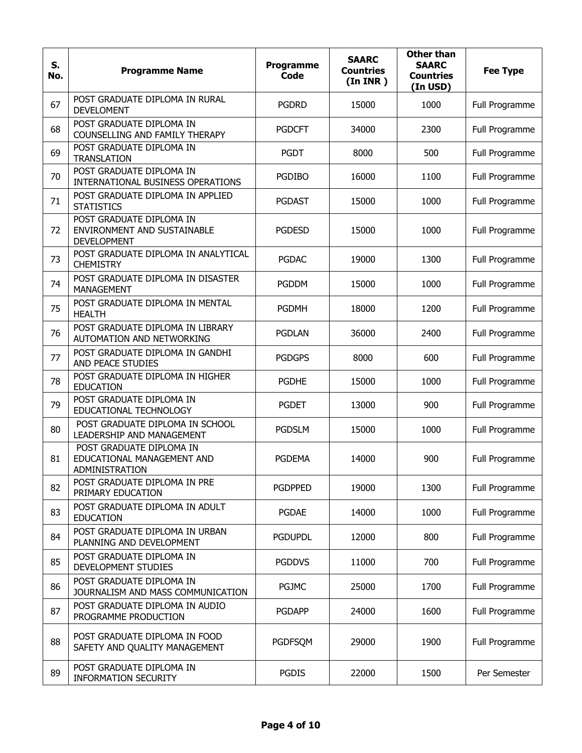| S.<br>No. | <b>Programme Name</b>                                                         | Programme<br>Code | <b>SAARC</b><br><b>Countries</b><br>(In <b>INR</b> ) | <b>Other than</b><br><b>SAARC</b><br><b>Countries</b><br>(In USD) | <b>Fee Type</b> |
|-----------|-------------------------------------------------------------------------------|-------------------|------------------------------------------------------|-------------------------------------------------------------------|-----------------|
| 67        | POST GRADUATE DIPLOMA IN RURAL<br><b>DEVELOMENT</b>                           | <b>PGDRD</b>      | 15000                                                | 1000                                                              | Full Programme  |
| 68        | POST GRADUATE DIPLOMA IN<br>COUNSELLING AND FAMILY THERAPY                    | <b>PGDCFT</b>     | 34000                                                | 2300                                                              | Full Programme  |
| 69        | POST GRADUATE DIPLOMA IN<br><b>TRANSLATION</b>                                | <b>PGDT</b>       | 8000                                                 | 500                                                               | Full Programme  |
| 70        | POST GRADUATE DIPLOMA IN<br>INTERNATIONAL BUSINESS OPERATIONS                 | <b>PGDIBO</b>     | 16000                                                | 1100                                                              | Full Programme  |
| 71        | POST GRADUATE DIPLOMA IN APPLIED<br><b>STATISTICS</b>                         | <b>PGDAST</b>     | 15000                                                | 1000                                                              | Full Programme  |
| 72        | POST GRADUATE DIPLOMA IN<br>ENVIRONMENT AND SUSTAINABLE<br><b>DEVELOPMENT</b> | <b>PGDESD</b>     | 15000                                                | 1000                                                              | Full Programme  |
| 73        | POST GRADUATE DIPLOMA IN ANALYTICAL<br><b>CHEMISTRY</b>                       | <b>PGDAC</b>      | 19000                                                | 1300                                                              | Full Programme  |
| 74        | POST GRADUATE DIPLOMA IN DISASTER<br><b>MANAGEMENT</b>                        | <b>PGDDM</b>      | 15000                                                | 1000                                                              | Full Programme  |
| 75        | POST GRADUATE DIPLOMA IN MENTAL<br><b>HEALTH</b>                              | <b>PGDMH</b>      | 18000                                                | 1200                                                              | Full Programme  |
| 76        | POST GRADUATE DIPLOMA IN LIBRARY<br><b>AUTOMATION AND NETWORKING</b>          | <b>PGDLAN</b>     | 36000                                                | 2400                                                              | Full Programme  |
| 77        | POST GRADUATE DIPLOMA IN GANDHI<br>AND PEACE STUDIES                          | <b>PGDGPS</b>     | 8000                                                 | 600                                                               | Full Programme  |
| 78        | POST GRADUATE DIPLOMA IN HIGHER<br><b>EDUCATION</b>                           | <b>PGDHE</b>      | 15000                                                | 1000                                                              | Full Programme  |
| 79        | POST GRADUATE DIPLOMA IN<br>EDUCATIONAL TECHNOLOGY                            | <b>PGDET</b>      | 13000                                                | 900                                                               | Full Programme  |
| 80        | POST GRADUATE DIPLOMA IN SCHOOL<br>LEADERSHIP AND MANAGEMENT                  | <b>PGDSLM</b>     | 15000                                                | 1000                                                              | Full Programme  |
| 81        | POST GRADUATE DIPLOMA IN<br>EDUCATIONAL MANAGEMENT AND<br>ADMINISTRATION      | <b>PGDEMA</b>     | 14000                                                | 900                                                               | Full Programme  |
| 82        | POST GRADUATE DIPLOMA IN PRE<br>PRIMARY EDUCATION                             | <b>PGDPPED</b>    | 19000                                                | 1300                                                              | Full Programme  |
| 83        | POST GRADUATE DIPLOMA IN ADULT<br><b>EDUCATION</b>                            | <b>PGDAE</b>      | 14000                                                | 1000                                                              | Full Programme  |
| 84        | POST GRADUATE DIPLOMA IN URBAN<br>PLANNING AND DEVELOPMENT                    | <b>PGDUPDL</b>    | 12000                                                | 800                                                               | Full Programme  |
| 85        | POST GRADUATE DIPLOMA IN<br>DEVELOPMENT STUDIES                               | <b>PGDDVS</b>     | 11000                                                | 700                                                               | Full Programme  |
| 86        | POST GRADUATE DIPLOMA IN<br>JOURNALISM AND MASS COMMUNICATION                 | <b>PGJMC</b>      | 25000                                                | 1700                                                              | Full Programme  |
| 87        | POST GRADUATE DIPLOMA IN AUDIO<br>PROGRAMME PRODUCTION                        | <b>PGDAPP</b>     | 24000                                                | 1600                                                              | Full Programme  |
| 88        | POST GRADUATE DIPLOMA IN FOOD<br>SAFETY AND QUALITY MANAGEMENT                | <b>PGDFSQM</b>    | 29000                                                | 1900                                                              | Full Programme  |
| 89        | POST GRADUATE DIPLOMA IN<br><b>INFORMATION SECURITY</b>                       | <b>PGDIS</b>      | 22000                                                | 1500                                                              | Per Semester    |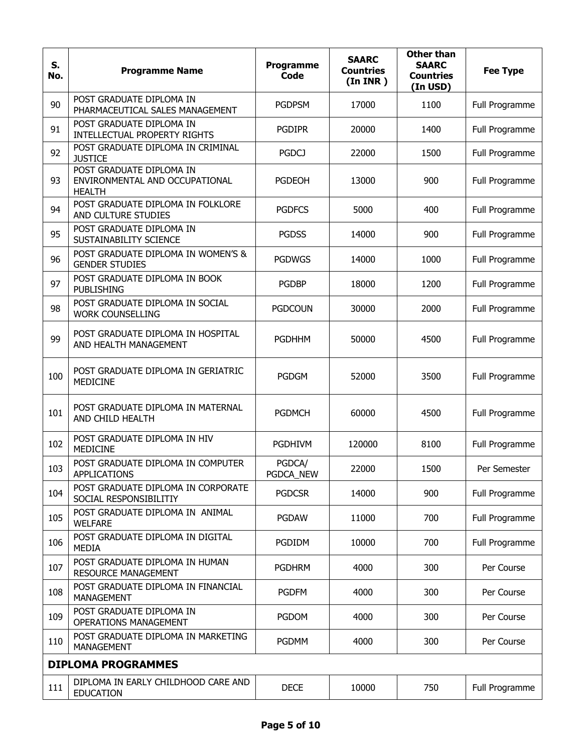| S.<br>No. | <b>Programme Name</b>                                                       | Programme<br>Code   | <b>SAARC</b><br><b>Countries</b><br>(In <b>INR</b> ) | <b>Other than</b><br><b>SAARC</b><br><b>Countries</b><br>(In USD) | <b>Fee Type</b> |
|-----------|-----------------------------------------------------------------------------|---------------------|------------------------------------------------------|-------------------------------------------------------------------|-----------------|
| 90        | POST GRADUATE DIPLOMA IN<br>PHARMACEUTICAL SALES MANAGEMENT                 | <b>PGDPSM</b>       | 17000                                                | 1100                                                              | Full Programme  |
| 91        | POST GRADUATE DIPLOMA IN<br>INTELLECTUAL PROPERTY RIGHTS                    | <b>PGDIPR</b>       | 20000                                                | 1400                                                              | Full Programme  |
| 92        | POST GRADUATE DIPLOMA IN CRIMINAL<br><b>JUSTICE</b>                         | <b>PGDCJ</b>        | 22000                                                | 1500                                                              | Full Programme  |
| 93        | POST GRADUATE DIPLOMA IN<br>ENVIRONMENTAL AND OCCUPATIONAL<br><b>HEALTH</b> | <b>PGDEOH</b>       | 13000                                                | 900                                                               | Full Programme  |
| 94        | POST GRADUATE DIPLOMA IN FOLKLORE<br>AND CULTURE STUDIES                    | <b>PGDFCS</b>       | 5000                                                 | 400                                                               | Full Programme  |
| 95        | POST GRADUATE DIPLOMA IN<br>SUSTAINABILITY SCIENCE                          | <b>PGDSS</b>        | 14000                                                | 900                                                               | Full Programme  |
| 96        | POST GRADUATE DIPLOMA IN WOMEN'S &<br><b>GENDER STUDIES</b>                 | <b>PGDWGS</b>       | 14000                                                | 1000                                                              | Full Programme  |
| 97        | POST GRADUATE DIPLOMA IN BOOK<br><b>PUBLISHING</b>                          | <b>PGDBP</b>        | 18000                                                | 1200                                                              | Full Programme  |
| 98        | POST GRADUATE DIPLOMA IN SOCIAL<br><b>WORK COUNSELLING</b>                  | <b>PGDCOUN</b>      | 30000                                                | 2000                                                              | Full Programme  |
| 99        | POST GRADUATE DIPLOMA IN HOSPITAL<br>AND HEALTH MANAGEMENT                  | <b>PGDHHM</b>       | 50000                                                | 4500                                                              | Full Programme  |
| 100       | POST GRADUATE DIPLOMA IN GERIATRIC<br>MEDICINE                              | <b>PGDGM</b>        | 52000                                                | 3500                                                              | Full Programme  |
| 101       | POST GRADUATE DIPLOMA IN MATERNAL<br>AND CHILD HEALTH                       | <b>PGDMCH</b>       | 60000                                                | 4500                                                              | Full Programme  |
| 102       | POST GRADUATE DIPLOMA IN HIV<br><b>MEDICINE</b>                             | <b>PGDHIVM</b>      | 120000                                               | 8100                                                              | Full Programme  |
| 103       | POST GRADUATE DIPLOMA IN COMPUTER<br><b>APPLICATIONS</b>                    | PGDCA/<br>PGDCA_NEW | 22000                                                | 1500                                                              | Per Semester    |
| 104       | POST GRADUATE DIPLOMA IN CORPORATE<br>SOCIAL RESPONSIBILITIY                | <b>PGDCSR</b>       | 14000                                                | 900                                                               | Full Programme  |
| 105       | POST GRADUATE DIPLOMA IN ANIMAL<br><b>WELFARE</b>                           | <b>PGDAW</b>        | 11000                                                | 700                                                               | Full Programme  |
| 106       | POST GRADUATE DIPLOMA IN DIGITAL<br><b>MEDIA</b>                            | PGDIDM              | 10000                                                | 700                                                               | Full Programme  |
| 107       | POST GRADUATE DIPLOMA IN HUMAN<br><b>RESOURCE MANAGEMENT</b>                | <b>PGDHRM</b>       | 4000                                                 | 300                                                               | Per Course      |
| 108       | POST GRADUATE DIPLOMA IN FINANCIAL<br><b>MANAGEMENT</b>                     | <b>PGDFM</b>        | 4000                                                 | 300                                                               | Per Course      |
| 109       | POST GRADUATE DIPLOMA IN<br><b>OPERATIONS MANAGEMENT</b>                    | <b>PGDOM</b>        | 4000                                                 | 300                                                               | Per Course      |
| 110       | POST GRADUATE DIPLOMA IN MARKETING<br><b>MANAGEMENT</b>                     | <b>PGDMM</b>        | 4000                                                 | 300                                                               | Per Course      |
|           | <b>DIPLOMA PROGRAMMES</b>                                                   |                     |                                                      |                                                                   |                 |
| 111       | DIPLOMA IN EARLY CHILDHOOD CARE AND<br><b>EDUCATION</b>                     | <b>DECE</b>         | 10000                                                | 750                                                               | Full Programme  |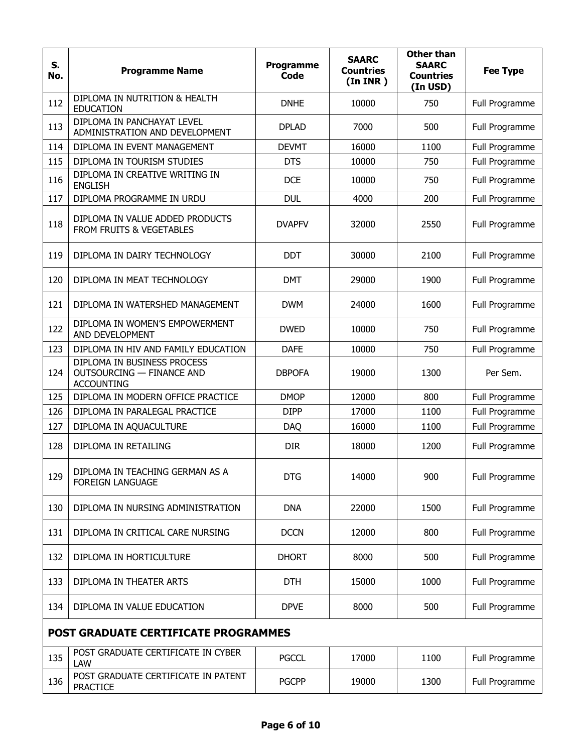| S.<br>No. | <b>Programme Name</b>                                                                | <b>Programme</b><br>Code | <b>SAARC</b><br><b>Countries</b><br>(In <b>INR</b> ) | <b>Other than</b><br><b>SAARC</b><br><b>Countries</b><br>(In USD) | <b>Fee Type</b> |
|-----------|--------------------------------------------------------------------------------------|--------------------------|------------------------------------------------------|-------------------------------------------------------------------|-----------------|
| 112       | DIPLOMA IN NUTRITION & HEALTH<br><b>EDUCATION</b>                                    | <b>DNHE</b>              | 10000                                                | 750                                                               | Full Programme  |
| 113       | DIPLOMA IN PANCHAYAT LEVEL<br>ADMINISTRATION AND DEVELOPMENT                         | <b>DPLAD</b>             | 7000                                                 | 500                                                               | Full Programme  |
| 114       | DIPLOMA IN EVENT MANAGEMENT                                                          | <b>DEVMT</b>             | 16000                                                | 1100                                                              | Full Programme  |
| 115       | DIPLOMA IN TOURISM STUDIES                                                           | <b>DTS</b>               | 10000                                                | 750                                                               | Full Programme  |
| 116       | DIPLOMA IN CREATIVE WRITING IN<br><b>ENGLISH</b>                                     | <b>DCE</b>               | 10000                                                | 750                                                               | Full Programme  |
| 117       | DIPLOMA PROGRAMME IN URDU                                                            | <b>DUL</b>               | 4000                                                 | 200                                                               | Full Programme  |
| 118       | DIPLOMA IN VALUE ADDED PRODUCTS<br>FROM FRUITS & VEGETABLES                          | <b>DVAPFV</b>            | 32000                                                | 2550                                                              | Full Programme  |
| 119       | DIPLOMA IN DAIRY TECHNOLOGY                                                          | <b>DDT</b>               | 30000                                                | 2100                                                              | Full Programme  |
| 120       | DIPLOMA IN MEAT TECHNOLOGY                                                           | <b>DMT</b>               | 29000                                                | 1900                                                              | Full Programme  |
| 121       | DIPLOMA IN WATERSHED MANAGEMENT                                                      | <b>DWM</b>               | 24000                                                | 1600                                                              | Full Programme  |
| 122       | DIPLOMA IN WOMEN'S EMPOWERMENT<br>AND DEVELOPMENT                                    | <b>DWED</b>              | 10000                                                | 750                                                               | Full Programme  |
| 123       | DIPLOMA IN HIV AND FAMILY EDUCATION                                                  | <b>DAFE</b>              | 10000                                                | 750                                                               | Full Programme  |
| 124       | DIPLOMA IN BUSINESS PROCESS<br><b>OUTSOURCING - FINANCE AND</b><br><b>ACCOUNTING</b> | <b>DBPOFA</b>            | 19000                                                | 1300                                                              | Per Sem.        |
| 125       | DIPLOMA IN MODERN OFFICE PRACTICE                                                    | <b>DMOP</b>              | 12000                                                | 800                                                               | Full Programme  |
| 126       | DIPLOMA IN PARALEGAL PRACTICE                                                        | <b>DIPP</b>              | 17000                                                | 1100                                                              | Full Programme  |
| 127       | DIPLOMA IN AQUACULTURE                                                               | <b>DAQ</b>               | 16000                                                | 1100                                                              | Full Programme  |
| 128       | DIPLOMA IN RETAILING                                                                 | <b>DIR</b>               | 18000                                                | 1200                                                              | Full Programme  |
| 129       | DIPLOMA IN TEACHING GERMAN AS A<br><b>FOREIGN LANGUAGE</b>                           | DTG                      | 14000                                                | 900                                                               | Full Programme  |
| 130       | DIPLOMA IN NURSING ADMINISTRATION                                                    | <b>DNA</b>               | 22000                                                | 1500                                                              | Full Programme  |
| 131       | DIPLOMA IN CRITICAL CARE NURSING                                                     | <b>DCCN</b>              | 12000                                                | 800                                                               | Full Programme  |
| 132       | DIPLOMA IN HORTICULTURE                                                              | <b>DHORT</b>             | 8000                                                 | 500                                                               | Full Programme  |
| 133       | DIPLOMA IN THEATER ARTS                                                              | <b>DTH</b>               | 15000                                                | 1000                                                              | Full Programme  |
| 134       | DIPLOMA IN VALUE EDUCATION                                                           | <b>DPVE</b>              | 8000                                                 | 500                                                               | Full Programme  |
|           | <b>POST GRADUATE CERTIFICATE PROGRAMMES</b>                                          |                          |                                                      |                                                                   |                 |
| 135       | POST GRADUATE CERTIFICATE IN CYBER<br>LAW                                            | <b>PGCCL</b>             | 17000                                                | 1100                                                              | Full Programme  |
| 136       | POST GRADUATE CERTIFICATE IN PATENT<br><b>PRACTICE</b>                               | <b>PGCPP</b>             | 19000                                                | 1300                                                              | Full Programme  |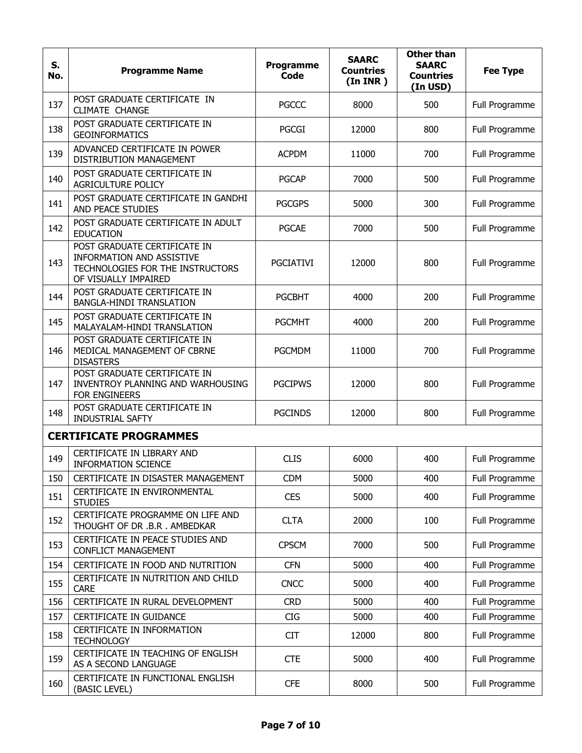| S.<br>No. | <b>Programme Name</b>                                                                                                 | <b>Programme</b><br><b>Code</b> | <b>SAARC</b><br><b>Countries</b><br>(In <b>INR</b> ) | <b>Other than</b><br><b>SAARC</b><br><b>Countries</b><br>(In USD) | <b>Fee Type</b> |
|-----------|-----------------------------------------------------------------------------------------------------------------------|---------------------------------|------------------------------------------------------|-------------------------------------------------------------------|-----------------|
| 137       | POST GRADUATE CERTIFICATE IN<br>CLIMATE CHANGE                                                                        | <b>PGCCC</b>                    | 8000                                                 | 500                                                               | Full Programme  |
| 138       | POST GRADUATE CERTIFICATE IN<br><b>GEOINFORMATICS</b>                                                                 | <b>PGCGI</b>                    | 12000                                                | 800                                                               | Full Programme  |
| 139       | ADVANCED CERTIFICATE IN POWER<br>DISTRIBUTION MANAGEMENT                                                              | <b>ACPDM</b>                    | 11000                                                | 700                                                               | Full Programme  |
| 140       | POST GRADUATE CERTIFICATE IN<br>AGRICULTURE POLICY                                                                    | <b>PGCAP</b>                    | 7000                                                 | 500                                                               | Full Programme  |
| 141       | POST GRADUATE CERTIFICATE IN GANDHI<br>AND PEACE STUDIES                                                              | <b>PGCGPS</b>                   | 5000                                                 | 300                                                               | Full Programme  |
| 142       | POST GRADUATE CERTIFICATE IN ADULT<br><b>EDUCATION</b>                                                                | <b>PGCAE</b>                    | 7000                                                 | 500                                                               | Full Programme  |
| 143       | POST GRADUATE CERTIFICATE IN<br>INFORMATION AND ASSISTIVE<br>TECHNOLOGIES FOR THE INSTRUCTORS<br>OF VISUALLY IMPAIRED | <b>PGCIATIVI</b>                | 12000                                                | 800                                                               | Full Programme  |
| 144       | POST GRADUATE CERTIFICATE IN<br><b>BANGLA-HINDI TRANSLATION</b>                                                       | <b>PGCBHT</b>                   | 4000                                                 | 200                                                               | Full Programme  |
| 145       | POST GRADUATE CERTIFICATE IN<br>MALAYALAM-HINDI TRANSLATION                                                           | <b>PGCMHT</b>                   | 4000                                                 | 200                                                               | Full Programme  |
| 146       | POST GRADUATE CERTIFICATE IN<br>MEDICAL MANAGEMENT OF CBRNE<br><b>DISASTERS</b>                                       | <b>PGCMDM</b>                   | 11000                                                | 700                                                               | Full Programme  |
| 147       | POST GRADUATE CERTIFICATE IN<br>INVENTROY PLANNING AND WARHOUSING<br>FOR ENGINEERS                                    | <b>PGCIPWS</b>                  | 12000                                                | 800                                                               | Full Programme  |
| 148       | POST GRADUATE CERTIFICATE IN<br><b>INDUSTRIAL SAFTY</b>                                                               | <b>PGCINDS</b>                  | 12000                                                | 800                                                               | Full Programme  |
|           | <b>CERTIFICATE PROGRAMMES</b>                                                                                         |                                 |                                                      |                                                                   |                 |
| 149       | CERTIFICATE IN LIBRARY AND<br><b>INFORMATION SCIENCE</b>                                                              | <b>CLIS</b>                     | 6000                                                 | 400                                                               | Full Programme  |
| 150       | CERTIFICATE IN DISASTER MANAGEMENT                                                                                    | <b>CDM</b>                      | 5000                                                 | 400                                                               | Full Programme  |
| 151       | CERTIFICATE IN ENVIRONMENTAL<br><b>STUDIES</b>                                                                        | <b>CES</b>                      | 5000                                                 | 400                                                               | Full Programme  |
| 152       | CERTIFICATE PROGRAMME ON LIFE AND<br>THOUGHT OF DR .B.R . AMBEDKAR                                                    | <b>CLTA</b>                     | 2000                                                 | 100                                                               | Full Programme  |
| 153       | CERTIFICATE IN PEACE STUDIES AND<br><b>CONFLICT MANAGEMENT</b>                                                        | <b>CPSCM</b>                    | 7000                                                 | 500                                                               | Full Programme  |
| 154       | CERTIFICATE IN FOOD AND NUTRITION                                                                                     | <b>CFN</b>                      | 5000                                                 | 400                                                               | Full Programme  |
| 155       | CERTIFICATE IN NUTRITION AND CHILD<br><b>CARE</b>                                                                     | <b>CNCC</b>                     | 5000                                                 | 400                                                               | Full Programme  |
| 156       | CERTIFICATE IN RURAL DEVELOPMENT                                                                                      | <b>CRD</b>                      | 5000                                                 | 400                                                               | Full Programme  |
| 157       | CERTIFICATE IN GUIDANCE                                                                                               | <b>CIG</b>                      | 5000                                                 | 400                                                               | Full Programme  |
| 158       | CERTIFICATE IN INFORMATION<br><b>TECHNOLOGY</b>                                                                       | <b>CIT</b>                      | 12000                                                | 800                                                               | Full Programme  |
| 159       | CERTIFICATE IN TEACHING OF ENGLISH<br>AS A SECOND LANGUAGE                                                            | <b>CTE</b>                      | 5000                                                 | 400                                                               | Full Programme  |
| 160       | CERTIFICATE IN FUNCTIONAL ENGLISH<br>(BASIC LEVEL)                                                                    | <b>CFE</b>                      | 8000                                                 | 500                                                               | Full Programme  |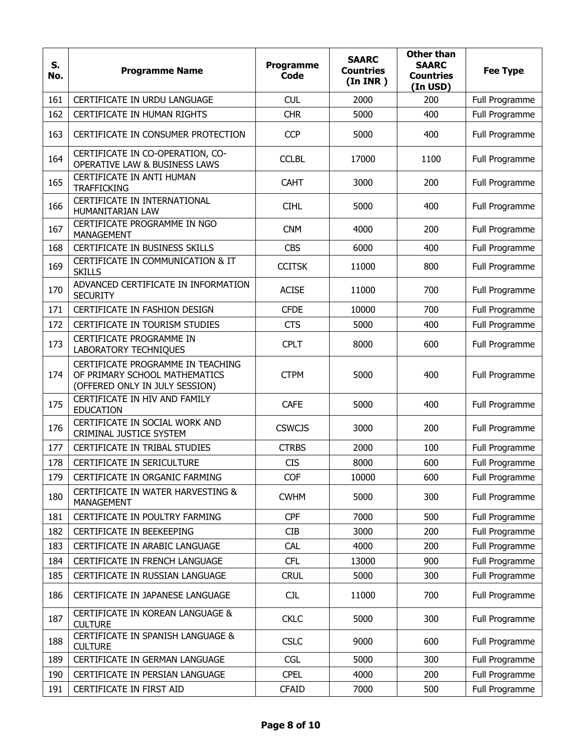| S.<br>No. | <b>Programme Name</b>                                                                                | <b>Programme</b><br>Code | <b>SAARC</b><br><b>Countries</b><br>(In <b>INR</b> ) | <b>Other than</b><br><b>SAARC</b><br><b>Countries</b><br>(In USD) | <b>Fee Type</b> |
|-----------|------------------------------------------------------------------------------------------------------|--------------------------|------------------------------------------------------|-------------------------------------------------------------------|-----------------|
| 161       | CERTIFICATE IN URDU LANGUAGE                                                                         | <b>CUL</b>               | 2000                                                 | 200                                                               | Full Programme  |
| 162       | CERTIFICATE IN HUMAN RIGHTS                                                                          | <b>CHR</b>               | 5000                                                 | 400                                                               | Full Programme  |
| 163       | CERTIFICATE IN CONSUMER PROTECTION                                                                   | <b>CCP</b>               | 5000                                                 | 400                                                               | Full Programme  |
| 164       | CERTIFICATE IN CO-OPERATION, CO-<br>OPERATIVE LAW & BUSINESS LAWS                                    | <b>CCLBL</b>             | 17000                                                | 1100                                                              | Full Programme  |
| 165       | CERTIFICATE IN ANTI HUMAN<br><b>TRAFFICKING</b>                                                      | <b>CAHT</b>              | 3000                                                 | 200                                                               | Full Programme  |
| 166       | CERTIFICATE IN INTERNATIONAL<br>HUMANITARIAN LAW                                                     | <b>CIHL</b>              | 5000                                                 | 400                                                               | Full Programme  |
| 167       | CERTIFICATE PROGRAMME IN NGO<br><b>MANAGEMENT</b>                                                    | <b>CNM</b>               | 4000                                                 | 200                                                               | Full Programme  |
| 168       | CERTIFICATE IN BUSINESS SKILLS                                                                       | <b>CBS</b>               | 6000                                                 | 400                                                               | Full Programme  |
| 169       | CERTIFICATE IN COMMUNICATION & IT<br><b>SKILLS</b>                                                   | <b>CCITSK</b>            | 11000                                                | 800                                                               | Full Programme  |
| 170       | ADVANCED CERTIFICATE IN INFORMATION<br><b>SECURITY</b>                                               | <b>ACISE</b>             | 11000                                                | 700                                                               | Full Programme  |
| 171       | CERTIFICATE IN FASHION DESIGN                                                                        | <b>CFDE</b>              | 10000                                                | 700                                                               | Full Programme  |
| 172       | CERTIFICATE IN TOURISM STUDIES                                                                       | <b>CTS</b>               | 5000                                                 | 400                                                               | Full Programme  |
| 173       | CERTIFICATE PROGRAMME IN<br>LABORATORY TECHNIQUES                                                    | <b>CPLT</b>              | 8000                                                 | 600                                                               | Full Programme  |
| 174       | CERTIFICATE PROGRAMME IN TEACHING<br>OF PRIMARY SCHOOL MATHEMATICS<br>(OFFERED ONLY IN JULY SESSION) | <b>CTPM</b>              | 5000                                                 | 400                                                               | Full Programme  |
| 175       | CERTIFICATE IN HIV AND FAMILY<br><b>EDUCATION</b>                                                    | <b>CAFE</b>              | 5000                                                 | 400                                                               | Full Programme  |
| 176       | CERTIFICATE IN SOCIAL WORK AND<br>CRIMINAL JUSTICE SYSTEM                                            | <b>CSWCJS</b>            | 3000                                                 | 200                                                               | Full Programme  |
| 177       | CERTIFICATE IN TRIBAL STUDIES                                                                        | <b>CTRBS</b>             | 2000                                                 | 100                                                               | Full Programme  |
| 178       | CERTIFICATE IN SERICULTURE                                                                           | <b>CIS</b>               | 8000                                                 | 600                                                               | Full Programme  |
| 179       | CERTIFICATE IN ORGANIC FARMING                                                                       | COF                      | 10000                                                | 600                                                               | Full Programme  |
| 180       | CERTIFICATE IN WATER HARVESTING &<br><b>MANAGEMENT</b>                                               | <b>CWHM</b>              | 5000                                                 | 300                                                               | Full Programme  |
| 181       | CERTIFICATE IN POULTRY FARMING                                                                       | <b>CPF</b>               | 7000                                                 | 500                                                               | Full Programme  |
| 182       | CERTIFICATE IN BEEKEEPING                                                                            | <b>CIB</b>               | 3000                                                 | 200                                                               | Full Programme  |
| 183       | CERTIFICATE IN ARABIC LANGUAGE                                                                       | CAL                      | 4000                                                 | 200                                                               | Full Programme  |
| 184       | CERTIFICATE IN FRENCH LANGUAGE                                                                       | <b>CFL</b>               | 13000                                                | 900                                                               | Full Programme  |
| 185       | CERTIFICATE IN RUSSIAN LANGUAGE                                                                      | <b>CRUL</b>              | 5000                                                 | 300                                                               | Full Programme  |
| 186       | CERTIFICATE IN JAPANESE LANGUAGE                                                                     | <b>CJL</b>               | 11000                                                | 700                                                               | Full Programme  |
| 187       | CERTIFICATE IN KOREAN LANGUAGE &<br><b>CULTURE</b>                                                   | <b>CKLC</b>              | 5000                                                 | 300                                                               | Full Programme  |
| 188       | CERTIFICATE IN SPANISH LANGUAGE &<br><b>CULTURE</b>                                                  | <b>CSLC</b>              | 9000                                                 | 600                                                               | Full Programme  |
| 189       | CERTIFICATE IN GERMAN LANGUAGE                                                                       | <b>CGL</b>               | 5000                                                 | 300                                                               | Full Programme  |
| 190       | CERTIFICATE IN PERSIAN LANGUAGE                                                                      | <b>CPEL</b>              | 4000                                                 | 200                                                               | Full Programme  |
| 191       | CERTIFICATE IN FIRST AID                                                                             | <b>CFAID</b>             | 7000                                                 | 500                                                               | Full Programme  |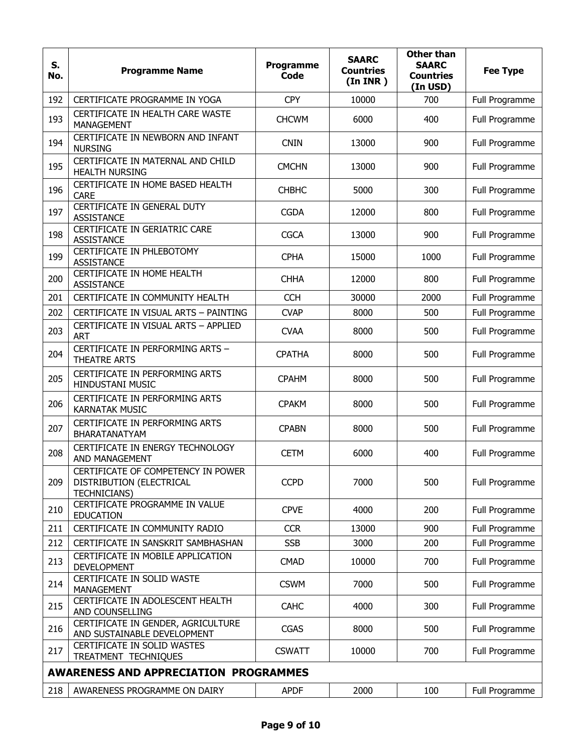| S.<br>No. | <b>Programme Name</b>                                                                 | Programme<br>Code | <b>SAARC</b><br><b>Countries</b><br>(In <b>INR</b> ) | <b>Other than</b><br><b>SAARC</b><br><b>Countries</b><br>(In USD) | <b>Fee Type</b> |
|-----------|---------------------------------------------------------------------------------------|-------------------|------------------------------------------------------|-------------------------------------------------------------------|-----------------|
| 192       | CERTIFICATE PROGRAMME IN YOGA                                                         | <b>CPY</b>        | 10000                                                | 700                                                               | Full Programme  |
| 193       | CERTIFICATE IN HEALTH CARE WASTE<br><b>MANAGEMENT</b>                                 | <b>CHCWM</b>      | 6000                                                 | 400                                                               | Full Programme  |
| 194       | CERTIFICATE IN NEWBORN AND INFANT<br><b>NURSING</b>                                   | <b>CNIN</b>       | 13000                                                | 900                                                               | Full Programme  |
| 195       | CERTIFICATE IN MATERNAL AND CHILD<br><b>HEALTH NURSING</b>                            | <b>CMCHN</b>      | 13000                                                | 900                                                               | Full Programme  |
| 196       | CERTIFICATE IN HOME BASED HEALTH<br><b>CARE</b>                                       | <b>CHBHC</b>      | 5000                                                 | 300                                                               | Full Programme  |
| 197       | CERTIFICATE IN GENERAL DUTY<br><b>ASSISTANCE</b>                                      | <b>CGDA</b>       | 12000                                                | 800                                                               | Full Programme  |
| 198       | CERTIFICATE IN GERIATRIC CARE<br><b>ASSISTANCE</b>                                    | <b>CGCA</b>       | 13000                                                | 900                                                               | Full Programme  |
| 199       | CERTIFICATE IN PHLEBOTOMY<br><b>ASSISTANCE</b>                                        | <b>CPHA</b>       | 15000                                                | 1000                                                              | Full Programme  |
| 200       | CERTIFICATE IN HOME HEALTH<br><b>ASSISTANCE</b>                                       | <b>CHHA</b>       | 12000                                                | 800                                                               | Full Programme  |
| 201       | CERTIFICATE IN COMMUNITY HEALTH                                                       | <b>CCH</b>        | 30000                                                | 2000                                                              | Full Programme  |
| 202       | CERTIFICATE IN VISUAL ARTS - PAINTING                                                 | <b>CVAP</b>       | 8000                                                 | 500                                                               | Full Programme  |
| 203       | CERTIFICATE IN VISUAL ARTS - APPLIED<br><b>ART</b>                                    | <b>CVAA</b>       | 8000                                                 | 500                                                               | Full Programme  |
| 204       | CERTIFICATE IN PERFORMING ARTS -<br><b>THEATRE ARTS</b>                               | <b>CPATHA</b>     | 8000                                                 | 500                                                               | Full Programme  |
| 205       | CERTIFICATE IN PERFORMING ARTS<br><b>HINDUSTANI MUSIC</b>                             | <b>CPAHM</b>      | 8000                                                 | 500                                                               | Full Programme  |
| 206       | CERTIFICATE IN PERFORMING ARTS<br><b>KARNATAK MUSIC</b>                               | <b>CPAKM</b>      | 8000                                                 | 500                                                               | Full Programme  |
| 207       | <b>CERTIFICATE IN PERFORMING ARTS</b><br>BHARATANATYAM                                | <b>CPABN</b>      | 8000                                                 | 500                                                               | Full Programme  |
| 208       | CERTIFICATE IN ENERGY TECHNOLOGY<br>AND MANAGEMENT                                    | <b>CETM</b>       | 6000                                                 | 400                                                               | Full Programme  |
| 209       | CERTIFICATE OF COMPETENCY IN POWER<br>DISTRIBUTION (ELECTRICAL<br><b>TECHNICIANS)</b> | <b>CCPD</b>       | 7000                                                 | 500                                                               | Full Programme  |
| 210       | CERTIFICATE PROGRAMME IN VALUE<br><b>EDUCATION</b>                                    | <b>CPVE</b>       | 4000                                                 | 200                                                               | Full Programme  |
| 211       | CERTIFICATE IN COMMUNITY RADIO                                                        | <b>CCR</b>        | 13000                                                | 900                                                               | Full Programme  |
| 212       | CERTIFICATE IN SANSKRIT SAMBHASHAN                                                    | <b>SSB</b>        | 3000                                                 | 200                                                               | Full Programme  |
| 213       | CERTIFICATE IN MOBILE APPLICATION<br><b>DEVELOPMENT</b>                               | <b>CMAD</b>       | 10000                                                | 700                                                               | Full Programme  |
| 214       | CERTIFICATE IN SOLID WASTE<br>MANAGEMENT                                              | <b>CSWM</b>       | 7000                                                 | 500                                                               | Full Programme  |
| 215       | CERTIFICATE IN ADOLESCENT HEALTH<br>AND COUNSELLING                                   | <b>CAHC</b>       | 4000                                                 | 300                                                               | Full Programme  |
| 216       | CERTIFICATE IN GENDER, AGRICULTURE<br>AND SUSTAINABLE DEVELOPMENT                     | <b>CGAS</b>       | 8000                                                 | 500                                                               | Full Programme  |
| 217       | CERTIFICATE IN SOLID WASTES<br>TREATMENT TECHNIQUES                                   | <b>CSWATT</b>     | 10000                                                | 700                                                               | Full Programme  |
|           | <b>AWARENESS AND APPRECIATION PROGRAMMES</b>                                          |                   |                                                      |                                                                   |                 |
| 218       | AWARENESS PROGRAMME ON DAIRY                                                          | <b>APDF</b>       | 2000                                                 | 100                                                               | Full Programme  |